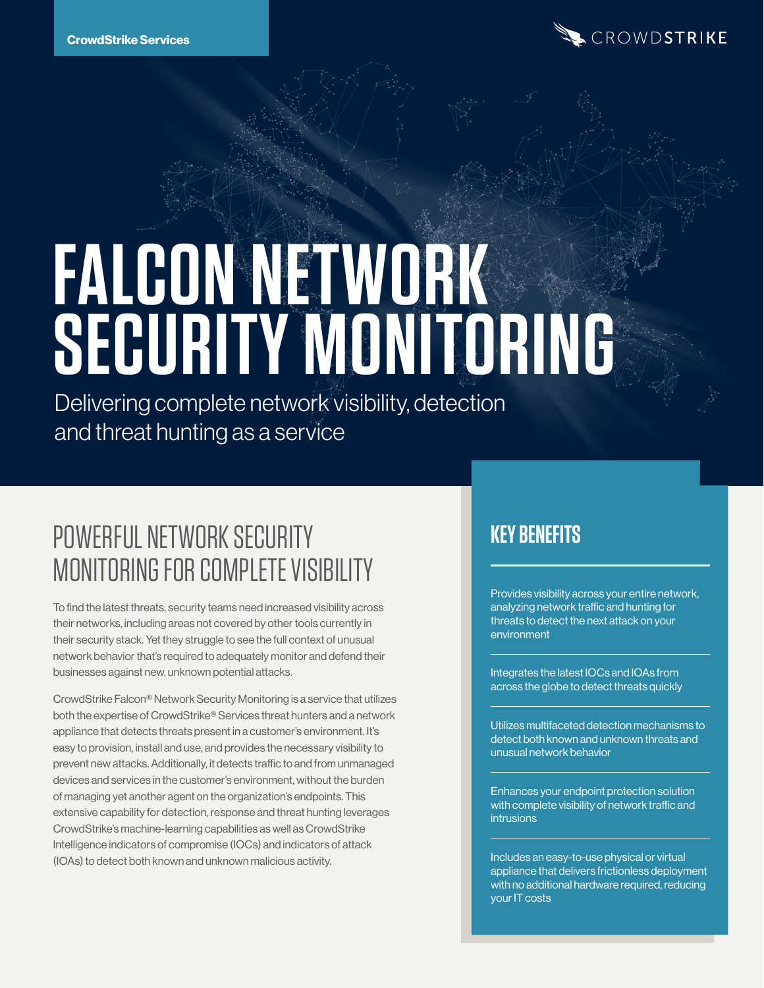

# **FALCON NETWORK SECURITY MONITORING**

Delivering complete network visibility, detection and threat hunting as a service

# POWERFUL NETWORK SECURITY MONITORING FOR COMPLETE VISIBILITY

To find the latest threats, security teams need increased visibility across their networks, including areas not covered by other tools currently in their security stack. Yet they struggle to see the full context of unusual network behavior that's required to adequately monitor and defend their businesses against new, unknown potential attacks.

CrowdStrike Falcon® Network Security Monitoring is a service that utilizes both the expertise of CrowdStrike® Services threat hunters and a network appliance that detects threats present in a customer's environment. It's easy to provision, install and use, and provides the necessary visibility to prevent new attacks. Additionally, it detects traffic to and from unmanaged devices and services in the customer's environment, without the burden of managing yet another agent on the organization's endpoints. This extensive capability for detection, response and threat hunting leverages CrowdStrike's machine-learning capabilities as well as CrowdStrike Intelligence indicators of compromise (IOCs) and indicators of attack (IOAs) to detect both known and unknown malicious activity.

## **KEY BENEFITS**

Provides visibility across your entire network, analyzing network traffic and hunting for threats to detect the next attack on your environment

Integrates the latest IOCs and IOAs from across the globe to detect threats quickly

Utilizes multifaceted detection mechanisms to detect both known and unknown threats and unusual network behavior

Enhances your endpoint protection solution with complete visibility of network traffic and intrusions

Includes an easy-to-use physical or virtual appliance that delivers frictionless deployment with no additional hardware required, reducing your IT costs